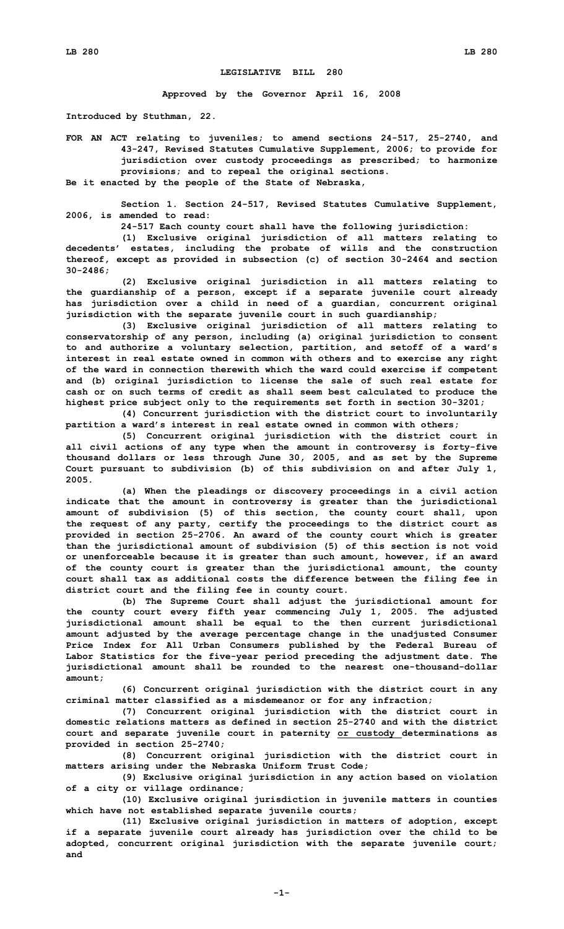## **LEGISLATIVE BILL 280**

**Approved by the Governor April 16, 2008**

**Introduced by Stuthman, 22.**

**FOR AN ACT relating to juveniles; to amend sections 24-517, 25-2740, and 43-247, Revised Statutes Cumulative Supplement, 2006; to provide for jurisdiction over custody proceedings as prescribed; to harmonize provisions; and to repeal the original sections. Be it enacted by the people of the State of Nebraska,**

**Section 1. Section 24-517, Revised Statutes Cumulative Supplement,**

**2006, is amended to read:**

**24-517 Each county court shall have the following jurisdiction:**

**(1) Exclusive original jurisdiction of all matters relating to decedents' estates, including the probate of wills and the construction thereof, except as provided in subsection (c) of section 30-2464 and section 30-2486;**

**(2) Exclusive original jurisdiction in all matters relating to the guardianship of <sup>a</sup> person, except if <sup>a</sup> separate juvenile court already has jurisdiction over <sup>a</sup> child in need of <sup>a</sup> guardian, concurrent original jurisdiction with the separate juvenile court in such guardianship;**

**(3) Exclusive original jurisdiction of all matters relating to conservatorship of any person, including (a) original jurisdiction to consent to and authorize <sup>a</sup> voluntary selection, partition, and setoff of <sup>a</sup> ward's interest in real estate owned in common with others and to exercise any right of the ward in connection therewith which the ward could exercise if competent and (b) original jurisdiction to license the sale of such real estate for cash or on such terms of credit as shall seem best calculated to produce the highest price subject only to the requirements set forth in section 30-3201;**

**(4) Concurrent jurisdiction with the district court to involuntarily partition <sup>a</sup> ward's interest in real estate owned in common with others;**

**(5) Concurrent original jurisdiction with the district court in all civil actions of any type when the amount in controversy is forty-five thousand dollars or less through June 30, 2005, and as set by the Supreme Court pursuant to subdivision (b) of this subdivision on and after July 1, 2005.**

**(a) When the pleadings or discovery proceedings in <sup>a</sup> civil action indicate that the amount in controversy is greater than the jurisdictional amount of subdivision (5) of this section, the county court shall, upon the request of any party, certify the proceedings to the district court as provided in section 25-2706. An award of the county court which is greater than the jurisdictional amount of subdivision (5) of this section is not void or unenforceable because it is greater than such amount, however, if an award of the county court is greater than the jurisdictional amount, the county court shall tax as additional costs the difference between the filing fee in district court and the filing fee in county court.**

**(b) The Supreme Court shall adjust the jurisdictional amount for the county court every fifth year commencing July 1, 2005. The adjusted jurisdictional amount shall be equal to the then current jurisdictional amount adjusted by the average percentage change in the unadjusted Consumer Price Index for All Urban Consumers published by the Federal Bureau of Labor Statistics for the five-year period preceding the adjustment date. The jurisdictional amount shall be rounded to the nearest one-thousand-dollar amount;**

**(6) Concurrent original jurisdiction with the district court in any criminal matter classified as <sup>a</sup> misdemeanor or for any infraction;**

**(7) Concurrent original jurisdiction with the district court in domestic relations matters as defined in section 25-2740 and with the district court and separate juvenile court in paternity or custody determinations as provided in section 25-2740;**

**(8) Concurrent original jurisdiction with the district court in matters arising under the Nebraska Uniform Trust Code;**

**(9) Exclusive original jurisdiction in any action based on violation of <sup>a</sup> city or village ordinance;**

**(10) Exclusive original jurisdiction in juvenile matters in counties which have not established separate juvenile courts;**

**(11) Exclusive original jurisdiction in matters of adoption, except if <sup>a</sup> separate juvenile court already has jurisdiction over the child to be adopted, concurrent original jurisdiction with the separate juvenile court; and**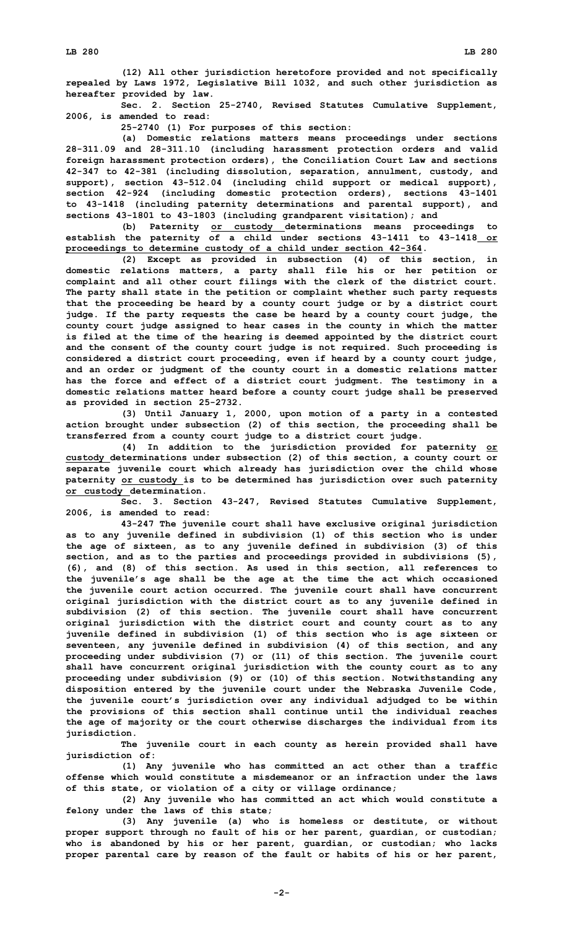**(12) All other jurisdiction heretofore provided and not specifically repealed by Laws 1972, Legislative Bill 1032, and such other jurisdiction as hereafter provided by law.**

**Sec. 2. Section 25-2740, Revised Statutes Cumulative Supplement, 2006, is amended to read:**

**25-2740 (1) For purposes of this section:**

**(a) Domestic relations matters means proceedings under sections 28-311.09 and 28-311.10 (including harassment protection orders and valid foreign harassment protection orders), the Conciliation Court Law and sections 42-347 to 42-381 (including dissolution, separation, annulment, custody, and support), section 43-512.04 (including child support or medical support), section 42-924 (including domestic protection orders), sections 43-1401 to 43-1418 (including paternity determinations and parental support), and sections 43-1801 to 43-1803 (including grandparent visitation); and**

**(b) Paternity or custody determinations means proceedings to establish the paternity of <sup>a</sup> child under sections 43-1411 to 43-1418 or proceedings to determine custody of <sup>a</sup> child under section 42-364.**

**(2) Except as provided in subsection (4) of this section, in domestic relations matters, <sup>a</sup> party shall file his or her petition or complaint and all other court filings with the clerk of the district court. The party shall state in the petition or complaint whether such party requests that the proceeding be heard by <sup>a</sup> county court judge or by <sup>a</sup> district court judge. If the party requests the case be heard by <sup>a</sup> county court judge, the county court judge assigned to hear cases in the county in which the matter is filed at the time of the hearing is deemed appointed by the district court and the consent of the county court judge is not required. Such proceeding is considered <sup>a</sup> district court proceeding, even if heard by <sup>a</sup> county court judge, and an order or judgment of the county court in <sup>a</sup> domestic relations matter has the force and effect of <sup>a</sup> district court judgment. The testimony in <sup>a</sup> domestic relations matter heard before <sup>a</sup> county court judge shall be preserved as provided in section 25-2732.**

**(3) Until January 1, 2000, upon motion of <sup>a</sup> party in <sup>a</sup> contested action brought under subsection (2) of this section, the proceeding shall be transferred from <sup>a</sup> county court judge to <sup>a</sup> district court judge.**

**(4) In addition to the jurisdiction provided for paternity or custody determinations under subsection (2) of this section, <sup>a</sup> county court or separate juvenile court which already has jurisdiction over the child whose paternity or custody is to be determined has jurisdiction over such paternity or custody determination.**

**Sec. 3. Section 43-247, Revised Statutes Cumulative Supplement, 2006, is amended to read:**

**43-247 The juvenile court shall have exclusive original jurisdiction as to any juvenile defined in subdivision (1) of this section who is under the age of sixteen, as to any juvenile defined in subdivision (3) of this section, and as to the parties and proceedings provided in subdivisions (5), (6), and (8) of this section. As used in this section, all references to the juvenile's age shall be the age at the time the act which occasioned the juvenile court action occurred. The juvenile court shall have concurrent original jurisdiction with the district court as to any juvenile defined in subdivision (2) of this section. The juvenile court shall have concurrent original jurisdiction with the district court and county court as to any juvenile defined in subdivision (1) of this section who is age sixteen or seventeen, any juvenile defined in subdivision (4) of this section, and any proceeding under subdivision (7) or (11) of this section. The juvenile court shall have concurrent original jurisdiction with the county court as to any proceeding under subdivision (9) or (10) of this section. Notwithstanding any disposition entered by the juvenile court under the Nebraska Juvenile Code, the juvenile court's jurisdiction over any individual adjudged to be within the provisions of this section shall continue until the individual reaches the age of majority or the court otherwise discharges the individual from its jurisdiction.**

**The juvenile court in each county as herein provided shall have jurisdiction of:**

**(1) Any juvenile who has committed an act other than <sup>a</sup> traffic offense which would constitute a misdemeanor or an infraction under the laws of this state, or violation of <sup>a</sup> city or village ordinance;**

**(2) Any juvenile who has committed an act which would constitute <sup>a</sup> felony under the laws of this state;**

**(3) Any juvenile (a) who is homeless or destitute, or without proper support through no fault of his or her parent, guardian, or custodian; who is abandoned by his or her parent, guardian, or custodian; who lacks proper parental care by reason of the fault or habits of his or her parent,**